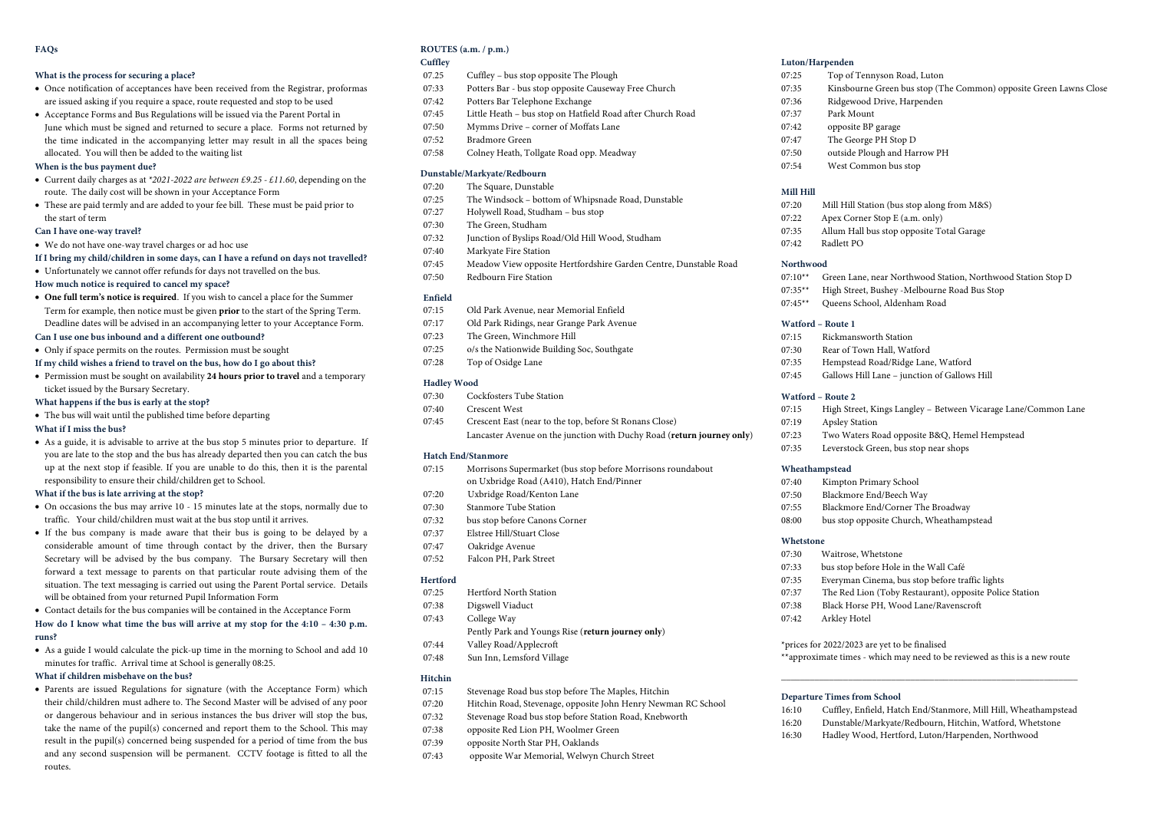#### **FAQs**

### **What is the process for securing a place?**

- Once notification of acceptances have been received from the Registrar, proformas are issued asking if you require a space, route requested and stop to be used
- Acceptance Forms and Bus Regulations will be issued via the Parent Portal in June which must be signed and returned to secure a place. Forms not returned by the time indicated in the accompanying letter may result in all the spaces being allocated. You will then be added to the waiting list

#### **When is the bus payment due?**

- Current daily charges as at *\*2021-2022 are between £9.25 - £11.60*, depending on the route. The daily cost will be shown in your Acceptance Form
- These are paid termly and are added to your fee bill. These must be paid prior to the start of term

#### **Can I have one-way travel?**

- We do not have one-way travel charges or ad hoc use
- **If I bring my child/children in some days, can I have a refund on days not travelled?**
- Unfortunately we cannot offer refunds for days not travelled on the bus.

#### **How much notice is required to cancel my space?**

- **One full term's notice is required**. If you wish to cancel a place for the Summer Term for example, then notice must be given **prior** to the start of the Spring Term. Deadline dates will be advised in an accompanying letter to your Acceptance Form.
- **Can I use one bus inbound and a different one outbound?**
- Only if space permits on the routes. Permission must be sought
- **If my child wishes a friend to travel on the bus, how do I go about this?**
- Permission must be sought on availability **24 hours prior to travel** and a temporary ticket issued by the Bursary Secretary.
- **What happens if the bus is early at the stop?**
- The bus will wait until the published time before departing

# **What if I miss the bus?**

• As a guide, it is advisable to arrive at the bus stop 5 minutes prior to departure. If you are late to the stop and the bus has already departed then you can catch the bus up at the next stop if feasible. If you are unable to do this, then it is the parental responsibility to ensure their child/children get to School.

#### **What if the bus is late arriving at the stop?**

- On occasions the bus may arrive 10 15 minutes late at the stops, normally due to traffic. Your child/children must wait at the bus stop until it arrives.
- If the bus company is made aware that their bus is going to be delayed by a considerable amount of time through contact by the driver, then the Bursary Secretary will be advised by the bus company. The Bursary Secretary will then forward a text message to parents on that particular route advising them of the situation. The text messaging is carried out using the Parent Portal service. Details will be obtained from your returned Pupil Information Form

• Contact details for the bus companies will be contained in the Acceptance Form

#### **How do I know what time the bus will arrive at my stop for the 4:10 – 4:30 p.m. runs?**

• As a guide I would calculate the pick-up time in the morning to School and add 10 minutes for traffic. Arrival time at School is generally 08:25.

#### **What if children misbehave on the bus?**

• Parents are issued Regulations for signature (with the Acceptance Form) which their child/children must adhere to. The Second Master will be advised of any poor or dangerous behaviour and in serious instances the bus driver will stop the bus, take the name of the pupil(s) concerned and report them to the School. This may result in the pupil(s) concerned being suspended for a period of time from the bus and any second suspension will be permanent. CCTV footage is fitted to all the routes.

# **ROUTES (a.m. / p.m.)**

### **Cuffley**

- 07.25 Cuffley bus stop opposite The Plough
- 07:33 Potters Bar bus stop opposite Causeway Free Church
- 07:42 Potters Bar Telephone Exchange
- 07:45 Little Heath bus stop on Hatfield Road after Church Road
- 07:50 Mymms Drive corner of Moffats Lane
- 07:52 Bradmore Green
- 07:58 Colney Heath, Tollgate Road opp. Meadway

#### **Dunstable/Markyate/Redbourn**

- 07:20 The Square, Dunstable
- 07:25 The Windsock bottom of Whipsnade Road, Dunstable
- 07:27 Holywell Road, Studham bus stop
- 07:30 The Green, Studham
- 07:32 Junction of Byslips Road/Old Hill Wood, Studham
- 07:40 Markyate Fire Station
- 07:45 Meadow View opposite Hertfordshire Garden Centre, Dunstable Road
- 07:50 Redbourn Fire Station

# **Enfield**

- 07:15 Old Park Avenue, near Memorial Enfield
- 07:17 Old Park Ridings, near Grange Park Avenue
- 07:23 The Green, Winchmore Hill
- 07:25 o/s the Nationwide Building Soc, Southgate
- 07:28 Top of Osidge Lane

# **Hadley Wood**

- 07:30 Cockfosters Tube Station
- 07:40 Crescent West
- 07:45 Crescent East (near to the top, before St Ronans Close) Lancaster Avenue on the junction with Duchy Road (**return journey only**)

#### **Hatch End/Stanmore**

- 07:15 Morrisons Supermarket (bus stop before Morrisons roundabout on Uxbridge Road (A410), Hatch End/Pinner
- 07:20 Uxbridge Road/Kenton Lane
- 07:30 Stanmore Tube Station
- 07:32 bus stop before Canons Corner
- 07:37 Elstree Hill/Stuart Close
- 07:47 Oakridge Avenue
- 07:52 Falcon PH, Park Street

#### **Hertford**

- 07:25 Hertford North Station
- 07:38 Digswell Viaduct
- 07:43 College Way
- Pently Park and Youngs Rise (**return journey only**)
- 07:44 Valley Road/Applecroft
- 07:48 Sun Inn, Lemsford Village

### **Hitchin**

- 07:15 Stevenage Road bus stop before The Maples, Hitchin
- 07:20 Hitchin Road, Stevenage, opposite John Henry Newman RC School
- 07:32 Stevenage Road bus stop before Station Road, Knebworth
- 07:38 opposite Red Lion PH, Woolmer Green
- 07:39 opposite North Star PH, Oaklands
- 07:43 opposite War Memorial, Welwyn Church Street

#### **Luton/Harpenden**

- 07:25 Top of Tennyson Road, Luton
- 07:35 Kinsbourne Green bus stop (The Common) opposite Green Lawns Close
- 07:36 Ridgewood Drive, Harpenden
- 07:37 Park Mount
- 07:42 opposite BP garage
- 07:47 The George PH Stop D
- 07:50 outside Plough and Harrow PH
- 07:54 West Common bus stop

#### **Mill Hill**

- 07:20 Mill Hill Station (bus stop along from M&S)
- 07:22 Apex Corner Stop E (a.m. only)
- 07:35 Allum Hall bus stop opposite Total Garage
- 07:42 Radlett PO

#### **Northwood**

07:10\*\* Green Lane, near Northwood Station, Northwood Station Stop D

07:15 High Street, Kings Langley – Between Vicarage Lane/Common Lane

\*\*approximate times - which may need to be reviewed as this is a new route **\_\_\_\_\_\_\_\_\_\_\_\_\_\_\_\_\_\_\_\_\_\_\_\_\_\_\_\_\_\_\_\_\_\_\_\_\_\_\_\_\_\_\_\_\_\_\_\_\_\_\_\_\_\_\_\_\_\_\_\_\_\_**

16:10 Cuffley, Enfield, Hatch End/Stanmore, Mill Hill, Wheathampstead 16:20 Dunstable/Markyate/Redbourn, Hitchin, Watford, Whetstone 16:30 Hadley Wood, Hertford, Luton/Harpenden, Northwood

07:35\*\* High Street, Bushey -Melbourne Road Bus Stop

07:45 Gallows Hill Lane – junction of Gallows Hill

07:35 Leverstock Green, bus stop near shops

07:33 bus stop before Hole in the Wall Café 07:35 Everyman Cinema, bus stop before traffic lights 07:37 The Red Lion (Toby Restaurant), opposite Police Station

\*prices for 2022/2023 are yet to be finalised

07:38 Black Horse PH, Wood Lane/Ravenscroft

07:23 Two Waters Road opposite B&Q, Hemel Hempstead

07:45\*\* Queens School, Aldenham Road

#### **Watford – Route 1**

**Watford – Route 2**

**Wheathampstead**

**Whetstone**

07:19 Apsley Station

07:15 Rickmansworth Station

07:40 Kimpton Primary School 07:50 Blackmore End/Beech Way 07:55 Blackmore End/Corner The Broadway 08:00 bus stop opposite Church, Wheathampstead

07:30 Waitrose, Whetstone

**Departure Times from School**

07:42 Arkley Hotel

07:30 Rear of Town Hall, Watford 07:35 Hempstead Road/Ridge Lane, Watford